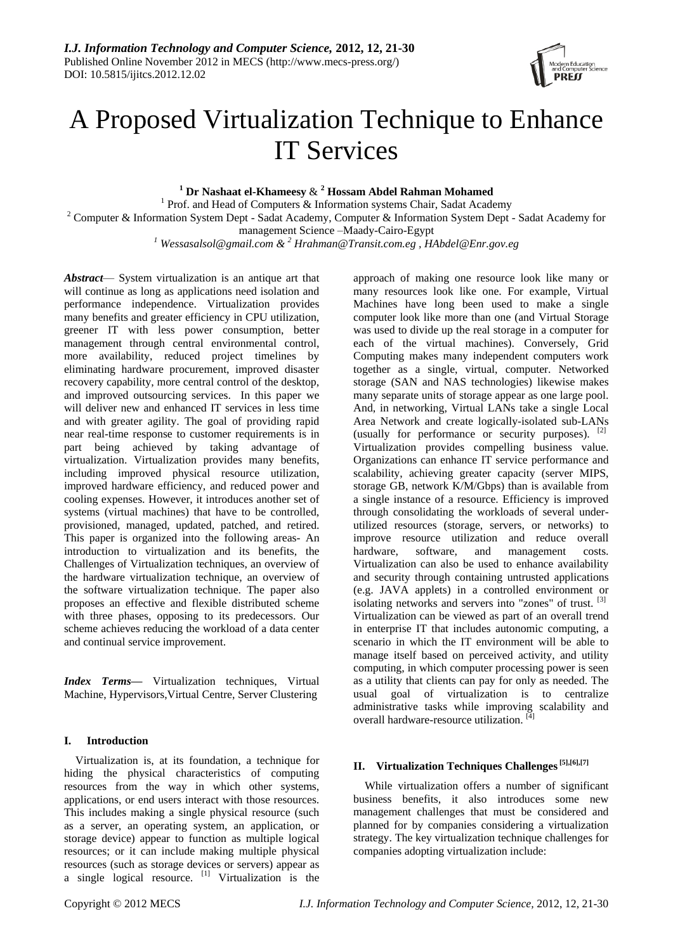

# A Proposed Virtualization Technique to Enhance IT Services

**<sup>1</sup> Dr Nashaat el-Khameesy** & **<sup>2</sup> Hossam Abdel Rahman Mohamed** 

<sup>1</sup> Prof. and Head of Computers & Information systems Chair, Sadat Academy <sup>2</sup> Computer & Information System Dept - Sadat Academy, Computer & Information System Dept - Sadat Academy for management Science –Maady-Cairo-Egypt

*<sup>1</sup> [Wessasalsol@gmail.com](mailto:Wessasalsol@gmail.com) & <sup>2</sup> Hrahman@Transit.com.eg , HAbdel@Enr.gov.eg*

*Abstract*— System virtualization is an antique art that will continue as long as applications need isolation and performance independence. Virtualization provides many benefits and greater efficiency in CPU utilization, greener IT with less power consumption, better management through central environmental control, more availability, reduced project timelines by eliminating hardware procurement, improved disaster recovery capability, more central control of the desktop, and improved outsourcing services. In this paper we will deliver new and enhanced IT services in less time and with greater agility. The goal of providing rapid near real-time response to customer requirements is in part being achieved by taking advantage of virtualization. Virtualization provides many benefits, including improved physical resource utilization, improved hardware efficiency, and reduced power and cooling expenses. However, it introduces another set of systems (virtual machines) that have to be controlled, provisioned, managed, updated, patched, and retired. This paper is organized into the following areas- An introduction to virtualization and its benefits, the Challenges of Virtualization techniques, an overview of the hardware virtualization technique, an overview of the software virtualization technique. The paper also proposes an effective and flexible distributed scheme with three phases, opposing to its predecessors. Our scheme achieves reducing the workload of a data center and continual service improvement.

*Index Terms*— Virtualization techniques, Virtual Machine, Hypervisors,Virtual Centre, Server Clustering

# **I. Introduction**

Virtualization is, at its foundation, a technique for hiding the physical characteristics of computing resources from the way in which other systems, applications, or end users interact with those resources. This includes making a single physical resource (such as a server, an operating system, an application, or storage device) appear to function as multiple logical resources; or it can include making multiple physical resources (such as storage devices or servers) appear as a single logical resource.  $\begin{bmatrix} 1 \end{bmatrix}$  Virtualization is the

approach of making one resource look like many or many resources look like one. For example, Virtual Machines have long been used to make a single computer look like more than one (and Virtual Storage was used to divide up the real storage in a computer for each of the virtual machines). Conversely, Grid Computing makes many independent computers work together as a single, virtual, computer. Networked storage (SAN and NAS technologies) likewise makes many separate units of storage appear as one large pool. And, in networking, Virtual LANs take a single Local Area Network and create logically-isolated sub-LANs (usually for performance or security purposes). [2] Virtualization provides compelling business value. Organizations can enhance IT service performance and scalability, achieving greater capacity (server MIPS, storage GB, network K/M/Gbps) than is available from a single instance of a resource. Efficiency is improved through consolidating the workloads of several underutilized resources (storage, servers, or networks) to improve resource utilization and reduce overall hardware, software, and management costs. Virtualization can also be used to enhance availability and security through containing untrusted applications (e.g. JAVA applets) in a controlled environment or isolating networks and servers into "zones" of trust. [3] Virtualization can be viewed as part of an overall trend in enterprise IT that includes autonomic computing, a scenario in which the IT environment will be able to manage itself based on perceived activity, and utility computing, in which computer processing power is seen as a utility that clients can pay for only as needed. The usual goal of virtualization is to centralize administrative tasks while improving scalability and overall hardware-resource utilization. [4]

# **II. Virtualization Techniques Challenges[5],[6],[7]**

While virtualization offers a number of significant business benefits, it also introduces some new management challenges that must be considered and planned for by companies considering a virtualization strategy. The key virtualization technique challenges for companies adopting virtualization include: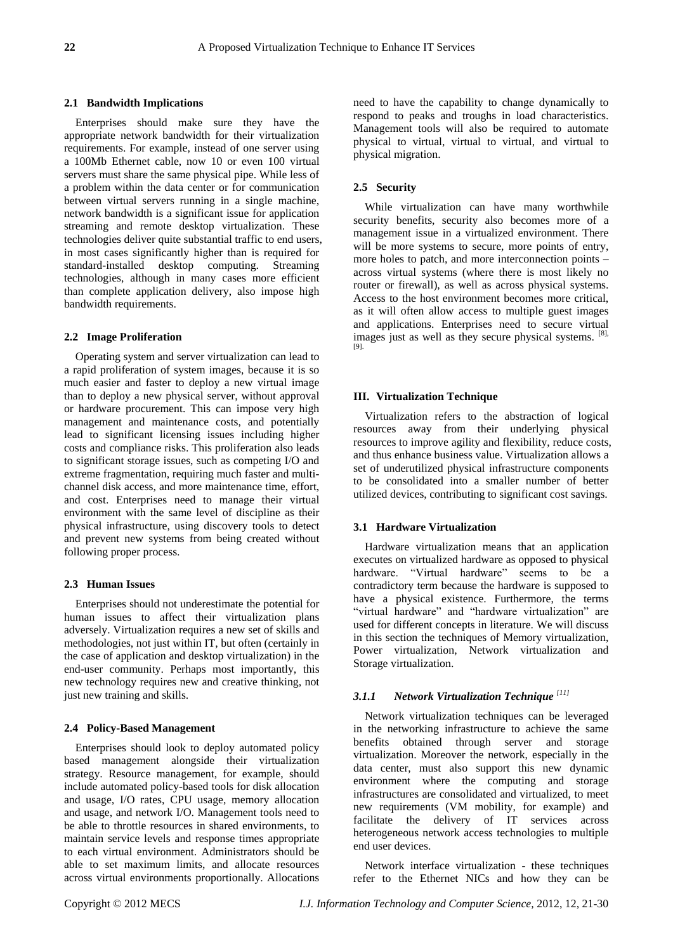#### **2.1 Bandwidth Implications**

Enterprises should make sure they have the appropriate network bandwidth for their virtualization requirements. For example, instead of one server using a 100Mb Ethernet cable, now 10 or even 100 virtual servers must share the same physical pipe. While less of a problem within the data center or for communication between virtual servers running in a single machine, network bandwidth is a significant issue for application streaming and remote desktop virtualization. These technologies deliver quite substantial traffic to end users, in most cases significantly higher than is required for standard-installed desktop computing. Streaming technologies, although in many cases more efficient than complete application delivery, also impose high bandwidth requirements.

#### **2.2 Image Proliferation**

Operating system and server virtualization can lead to a rapid proliferation of system images, because it is so much easier and faster to deploy a new virtual image than to deploy a new physical server, without approval or hardware procurement. This can impose very high management and maintenance costs, and potentially lead to significant licensing issues including higher costs and compliance risks. This proliferation also leads to significant storage issues, such as competing I/O and extreme fragmentation, requiring much faster and multichannel disk access, and more maintenance time, effort, and cost. Enterprises need to manage their virtual environment with the same level of discipline as their physical infrastructure, using discovery tools to detect and prevent new systems from being created without following proper process.

#### **2.3 Human Issues**

Enterprises should not underestimate the potential for human issues to affect their virtualization plans adversely. Virtualization requires a new set of skills and methodologies, not just within IT, but often (certainly in the case of application and desktop virtualization) in the end-user community. Perhaps most importantly, this new technology requires new and creative thinking, not just new training and skills.

#### **2.4 Policy-Based Management**

Enterprises should look to deploy automated policy based management alongside their virtualization strategy. Resource management, for example, should include automated policy-based tools for disk allocation and usage, I/O rates, CPU usage, memory allocation and usage, and network I/O. Management tools need to be able to throttle resources in shared environments, to maintain service levels and response times appropriate to each virtual environment. Administrators should be able to set maximum limits, and allocate resources across virtual environments proportionally. Allocations need to have the capability to change dynamically to respond to peaks and troughs in load characteristics. Management tools will also be required to automate physical to virtual, virtual to virtual, and virtual to physical migration.

# **2.5 Security**

While virtualization can have many worthwhile security benefits, security also becomes more of a management issue in a virtualized environment. There will be more systems to secure, more points of entry, more holes to patch, and more interconnection points – across virtual systems (where there is most likely no router or firewall), as well as across physical systems. Access to the host environment becomes more critical, as it will often allow access to multiple guest images and applications. Enterprises need to secure virtual images just as well as they secure physical systems. <sup>[8],</sup> [9].

# **III. Virtualization Technique**

Virtualization refers to the abstraction of logical resources away from their underlying physical resources to improve agility and flexibility, reduce costs, and thus enhance business value. Virtualization allows a set of underutilized physical infrastructure components to be consolidated into a smaller number of better utilized devices, contributing to significant cost savings.

### **3.1 Hardware Virtualization**

Hardware virtualization means that an application executes on virtualized hardware as opposed to physical hardware. "Virtual hardware" seems to be a contradictory term because the hardware is supposed to have a physical existence. Furthermore, the terms "virtual hardware" and "hardware virtualization" are used for different concepts in literature. We will discuss in this section the techniques of Memory virtualization, Power virtualization, Network virtualization and Storage virtualization.

# *3.1.1 Network Virtualization Technique [11]*

Network virtualization techniques can be leveraged in the networking infrastructure to achieve the same benefits obtained through server and storage virtualization. Moreover the network, especially in the data center, must also support this new dynamic environment where the computing and storage infrastructures are consolidated and virtualized, to meet new requirements (VM mobility, for example) and facilitate the delivery of IT services across heterogeneous network access technologies to multiple end user devices.

Network interface virtualization - these techniques refer to the Ethernet NICs and how they can be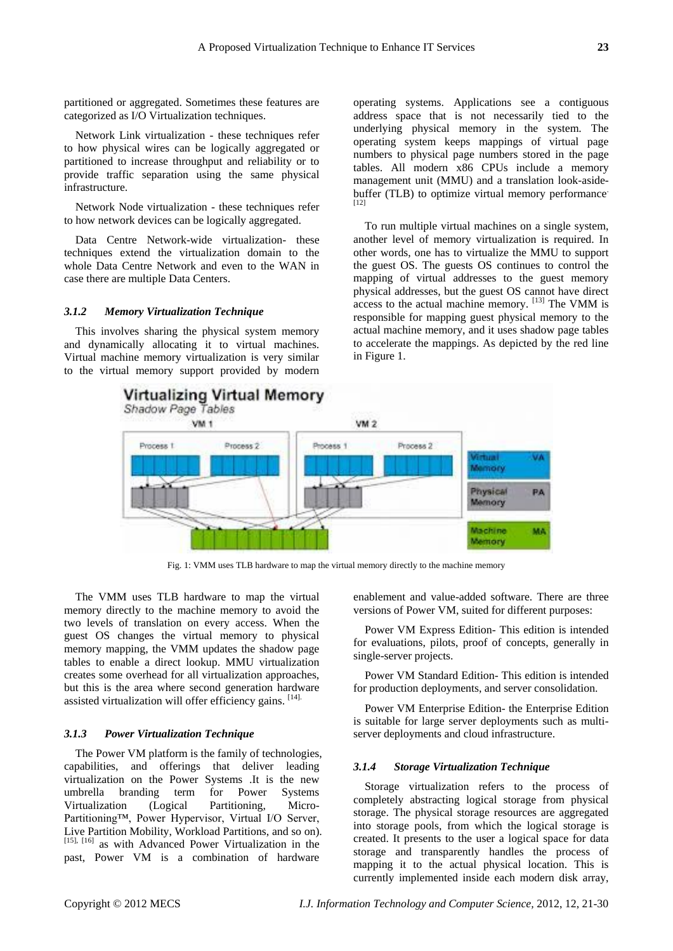partitioned or aggregated. Sometimes these features are categorized as I/O Virtualization techniques.

Network Link virtualization - these techniques refer to how physical wires can be logically aggregated or partitioned to increase throughput and reliability or to provide traffic separation using the same physical infrastructure.

Network Node virtualization - these techniques refer to how network devices can be logically aggregated.

Data Centre Network-wide virtualization- these techniques extend the virtualization domain to the whole Data Centre Network and even to the WAN in case there are multiple Data Centers.

#### *3.1.2 Memory Virtualization Technique*

This involves sharing the physical system memory and dynamically allocating it to virtual machines. Virtual machine memory virtualization is very similar to the virtual memory support provided by modern operating systems. Applications see a contiguous address space that is not necessarily tied to the underlying physical memory in the system. The operating system keeps mappings of virtual page numbers to physical page numbers stored in the page tables. All modern x86 CPUs include a memory management unit (MMU) and a translation look-asidebuffer (TLB) to optimize virtual memory performance. [12]

To run multiple virtual machines on a single system, another level of memory virtualization is required. In other words, one has to virtualize the MMU to support the guest OS. The guests OS continues to control the mapping of virtual addresses to the guest memory physical addresses, but the guest OS cannot have direct access to the actual machine memory. [13] The VMM is responsible for mapping guest physical memory to the actual machine memory, and it uses shadow page tables to accelerate the mappings. As depicted by the red line in Figure 1.



Fig. 1: VMM uses TLB hardware to map the virtual memory directly to the machine memory

The VMM uses TLB hardware to map the virtual memory directly to the machine memory to avoid the two levels of translation on every access. When the guest OS changes the virtual memory to physical memory mapping, the VMM updates the shadow page tables to enable a direct lookup. MMU virtualization creates some overhead for all virtualization approaches, but this is the area where second generation hardware assisted virtualization will offer efficiency gains. [14].

#### *3.1.3 Power Virtualization Technique*

The Power VM platform is the family of technologies, capabilities, and offerings that deliver leading virtualization on the Power Systems .It is the new umbrella branding term for Power Systems Virtualization (Logical Partitioning, Micro-Partitioning™, Power Hypervisor, Virtual I/O Server, Live Partition Mobility, Workload Partitions, and so on). [15], [16] as with Advanced Power Virtualization in the past, Power VM is a combination of hardware

enablement and value-added software. There are three versions of Power VM, suited for different purposes:

Power VM Express Edition- This edition is intended for evaluations, pilots, proof of concepts, generally in single-server projects.

Power VM Standard Edition- This edition is intended for production deployments, and server consolidation.

Power VM Enterprise Edition- the Enterprise Edition is suitable for large server deployments such as multiserver deployments and cloud infrastructure.

#### *3.1.4 Storage Virtualization Technique*

Storage virtualization refers to the process of completely abstracting logical storage from physical storage. The physical storage resources are aggregated into storage pools, from which the logical storage is created. It presents to the user a logical space for data storage and transparently handles the process of mapping it to the actual physical location. This is currently implemented inside each modern disk array,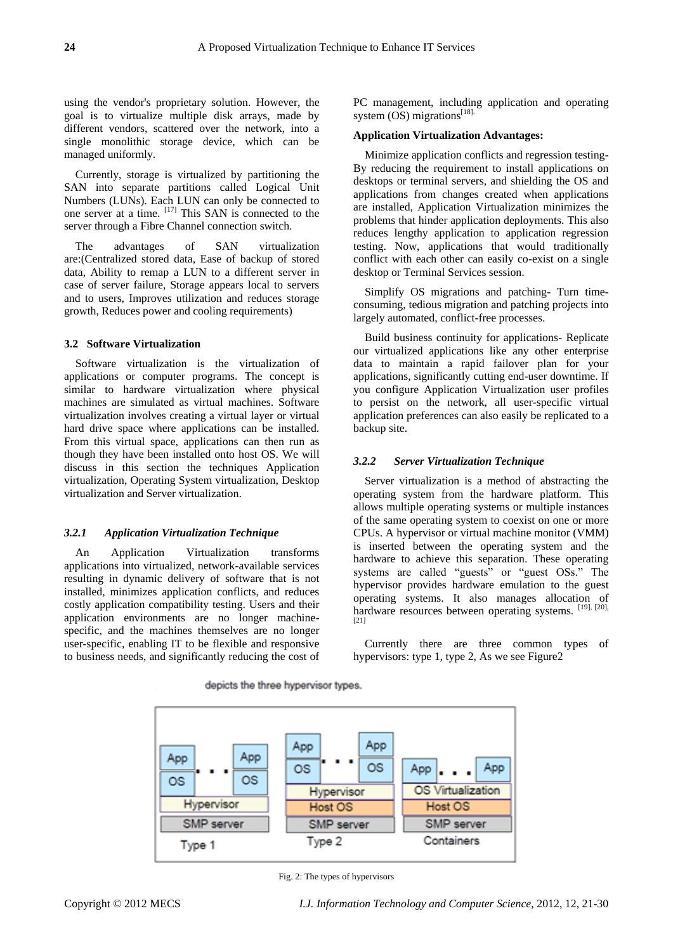using the vendor's proprietary solution. However, the goal is to virtualize multiple disk arrays, made by different vendors, scattered over the network, into a single monolithic storage device, which can be managed uniformly.

Currently, storage is virtualized by partitioning the SAN into separate partitions called Logical Unit Numbers (LUNs). Each LUN can only be connected to one server at a time.  $[17]$  This SAN is connected to the server through a Fibre Channel connection switch.

The advantages of SAN virtualization are:(Centralized stored data, Ease of backup of stored data, Ability to remap a LUN to a different server in case of server failure, Storage appears local to servers and to users, Improves utilization and reduces storage growth, Reduces power and cooling requirements)

# **3.2 Software Virtualization**

Software virtualization is the virtualization of applications or computer programs. The concept is similar to hardware virtualization where physical machines are simulated as virtual machines. Software virtualization involves creating a virtual layer or virtual hard drive space where applications can be installed. From this virtual space, applications can then run as though they have been installed onto host OS. We will discuss in this section the techniques Application virtualization, Operating System virtualization, Desktop virtualization and Server virtualization.

## *3.2.1 Application Virtualization Technique*

An Application Virtualization transforms applications into virtualized, network-available services resulting in dynamic delivery of software that is not installed, minimizes application conflicts, and reduces costly application compatibility testing. Users and their application environments are no longer machinespecific, and the machines themselves are no longer user-specific, enabling IT to be flexible and responsive to business needs, and significantly reducing the cost of PC management, including application and operating system  $OS$ ) migrations<sup>[18].</sup>

#### **Application Virtualization Advantages:**

Minimize application conflicts and regression testing-By reducing the requirement to install applications on desktops or terminal servers, and shielding the OS and applications from changes created when applications are installed, Application Virtualization minimizes the problems that hinder application deployments. This also reduces lengthy application to application regression testing. Now, applications that would traditionally conflict with each other can easily co-exist on a single desktop or Terminal Services session.

Simplify OS migrations and patching- Turn timeconsuming, tedious migration and patching projects into largely automated, conflict-free processes.

Build business continuity for applications- Replicate our virtualized applications like any other enterprise data to maintain a rapid failover plan for your applications, significantly cutting end-user downtime. If you configure Application Virtualization user profiles to persist on the network, all user-specific virtual application preferences can also easily be replicated to a backup site.

#### *3.2.2 Server Virtualization Technique*

Server virtualization is a method of abstracting the operating system from the hardware platform. This allows multiple operating systems or multiple instances of the same operating system to coexist on one or more CPUs. A hypervisor or virtual machine monitor (VMM) is inserted between the operating system and the hardware to achieve this separation. These operating systems are called "guests" or "guest OSs." The hypervisor provides hardware emulation to the guest operating systems. It also manages allocation of hardware resources between operating systems. [19], [20], [21]

Currently there are three common types of hypervisors: type 1, type 2, As we see Figure2



Fig. 2: The types of hypervisors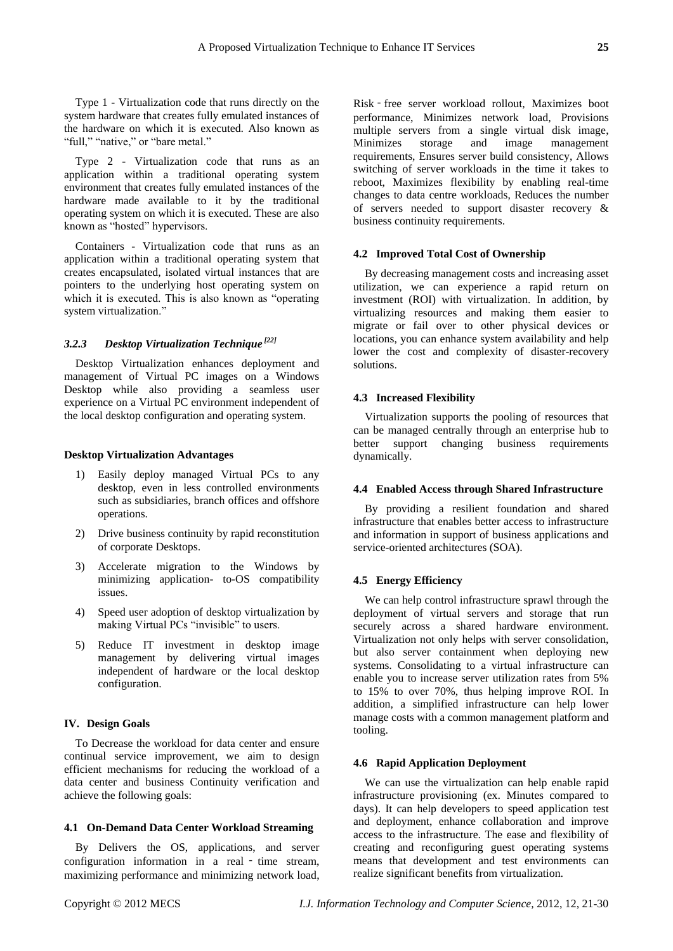Type 1 - Virtualization code that runs directly on the system hardware that creates fully emulated instances of the hardware on which it is executed. Also known as "full," "native," or "bare metal."

Type 2 - Virtualization code that runs as an application within a traditional operating system environment that creates fully emulated instances of the hardware made available to it by the traditional operating system on which it is executed. These are also known as "hosted" hypervisors.

Containers - Virtualization code that runs as an application within a traditional operating system that creates encapsulated, isolated virtual instances that are pointers to the underlying host operating system on which it is executed. This is also known as "operating" system virtualization."

# *3.2.3 Desktop Virtualization Technique [22]*

Desktop Virtualization enhances deployment and management of Virtual PC images on a Windows Desktop while also providing a seamless user experience on a Virtual PC environment independent of the local desktop configuration and operating system.

#### **Desktop Virtualization Advantages**

- 1) Easily deploy managed Virtual PCs to any desktop, even in less controlled environments such as subsidiaries, branch offices and offshore operations.
- 2) Drive business continuity by rapid reconstitution of corporate Desktops.
- 3) Accelerate migration to the Windows by minimizing application- to-OS compatibility issues.
- 4) Speed user adoption of desktop virtualization by making Virtual PCs "invisible" to users.
- 5) Reduce IT investment in desktop image management by delivering virtual images independent of hardware or the local desktop configuration.

# **IV. Design Goals**

To Decrease the workload for data center and ensure continual service improvement, we aim to design efficient mechanisms for reducing the workload of a data center and business Continuity verification and achieve the following goals:

#### **4.1 On-Demand Data Center Workload Streaming**

By Delivers the OS, applications, and server configuration information in a real - time stream, maximizing performance and minimizing network load,

Risk ‑ free server workload rollout, Maximizes boot performance, Minimizes network load, Provisions multiple servers from a single virtual disk image, Minimizes storage and image management requirements, Ensures server build consistency, Allows switching of server workloads in the time it takes to reboot, Maximizes flexibility by enabling real-time changes to data centre workloads, Reduces the number of servers needed to support disaster recovery & business continuity requirements.

#### **4.2 Improved Total Cost of Ownership**

By decreasing management costs and increasing asset utilization, we can experience a rapid return on investment (ROI) with virtualization. In addition, by virtualizing resources and making them easier to migrate or fail over to other physical devices or locations, you can enhance system availability and help lower the cost and complexity of disaster-recovery solutions.

#### **4.3 Increased Flexibility**

Virtualization supports the pooling of resources that can be managed centrally through an enterprise hub to better support changing business requirements dynamically.

### **4.4 Enabled Access through Shared Infrastructure**

By providing a resilient foundation and shared infrastructure that enables better access to infrastructure and information in support of business applications and service-oriented architectures (SOA).

# **4.5 Energy Efficiency**

We can help control infrastructure sprawl through the deployment of virtual servers and storage that run securely across a shared hardware environment. Virtualization not only helps with server consolidation, but also server containment when deploying new systems. Consolidating to a virtual infrastructure can enable you to increase server utilization rates from 5% to 15% to over 70%, thus helping improve ROI. In addition, a simplified infrastructure can help lower manage costs with a common management platform and tooling.

#### **4.6 Rapid Application Deployment**

We can use the virtualization can help enable rapid infrastructure provisioning (ex. Minutes compared to days). It can help developers to speed application test and deployment, enhance collaboration and improve access to the infrastructure. The ease and flexibility of creating and reconfiguring guest operating systems means that development and test environments can realize significant benefits from virtualization.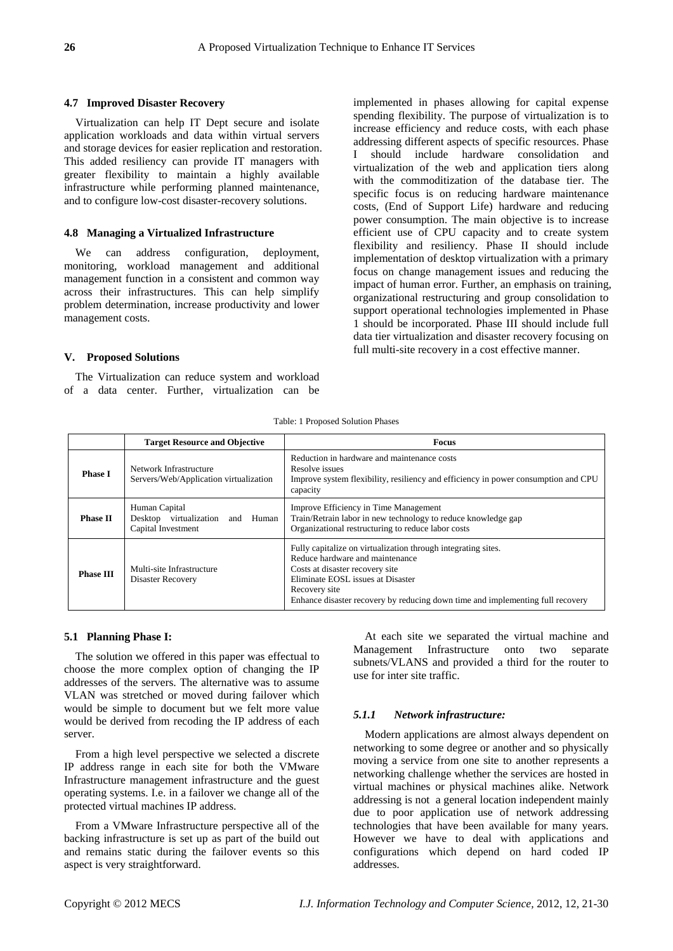#### **4.7 Improved Disaster Recovery**

Virtualization can help IT Dept secure and isolate application workloads and data within virtual servers and storage devices for easier replication and restoration. This added resiliency can provide IT managers with greater flexibility to maintain a highly available infrastructure while performing planned maintenance, and to configure low-cost disaster-recovery solutions.

#### **4.8 Managing a Virtualized Infrastructure**

We can address configuration, deployment, monitoring, workload management and additional management function in a consistent and common way across their infrastructures. This can help simplify problem determination, increase productivity and lower management costs.

#### **V. Proposed Solutions**

The Virtualization can reduce system and workload of a data center. Further, virtualization can be

implemented in phases allowing for capital expense spending flexibility. The purpose of virtualization is to increase efficiency and reduce costs, with each phase addressing different aspects of specific resources. Phase I should include hardware consolidation and virtualization of the web and application tiers along with the commoditization of the database tier. The specific focus is on reducing hardware maintenance costs, (End of Support Life) hardware and reducing power consumption. The main objective is to increase efficient use of CPU capacity and to create system flexibility and resiliency. Phase II should include implementation of desktop virtualization with a primary focus on change management issues and reducing the impact of human error. Further, an emphasis on training, organizational restructuring and group consolidation to support operational technologies implemented in Phase 1 should be incorporated. Phase III should include full data tier virtualization and disaster recovery focusing on full multi-site recovery in a cost effective manner.

Table: 1 Proposed Solution Phases

|                  | <b>Target Resource and Objective</b>                                    | <b>Focus</b>                                                                                                                                                                                                                                                                |
|------------------|-------------------------------------------------------------------------|-----------------------------------------------------------------------------------------------------------------------------------------------------------------------------------------------------------------------------------------------------------------------------|
| <b>Phase I</b>   | Network Infrastructure<br>Servers/Web/Application virtualization        | Reduction in hardware and maintenance costs<br>Resolve issues<br>Improve system flexibility, resiliency and efficiency in power consumption and CPU<br>capacity                                                                                                             |
| <b>Phase II</b>  | Human Capital<br>Desktop virtualization and Human<br>Capital Investment | Improve Efficiency in Time Management<br>Train/Retrain labor in new technology to reduce knowledge gap<br>Organizational restructuring to reduce labor costs                                                                                                                |
| <b>Phase III</b> | Multi-site Infrastructure<br>Disaster Recovery                          | Fully capitalize on virtualization through integrating sites.<br>Reduce hardware and maintenance<br>Costs at disaster recovery site<br>Eliminate EOSL issues at Disaster<br>Recovery site<br>Enhance disaster recovery by reducing down time and implementing full recovery |

#### **5.1 Planning Phase I:**

The solution we offered in this paper was effectual to choose the more complex option of changing the IP addresses of the servers. The alternative was to assume VLAN was stretched or moved during failover which would be simple to document but we felt more value would be derived from recoding the IP address of each server.

From a high level perspective we selected a discrete IP address range in each site for both the VMware Infrastructure management infrastructure and the guest operating systems. I.e. in a failover we change all of the protected virtual machines IP address.

From a VMware Infrastructure perspective all of the backing infrastructure is set up as part of the build out and remains static during the failover events so this aspect is very straightforward.

At each site we separated the virtual machine and Management Infrastructure onto two separate subnets/VLANS and provided a third for the router to use for inter site traffic.

#### *5.1.1 Network infrastructure:*

Modern applications are almost always dependent on networking to some degree or another and so physically moving a service from one site to another represents a networking challenge whether the services are hosted in virtual machines or physical machines alike. Network addressing is not a general location independent mainly due to poor application use of network addressing technologies that have been available for many years. However we have to deal with applications and configurations which depend on hard coded IP addresses.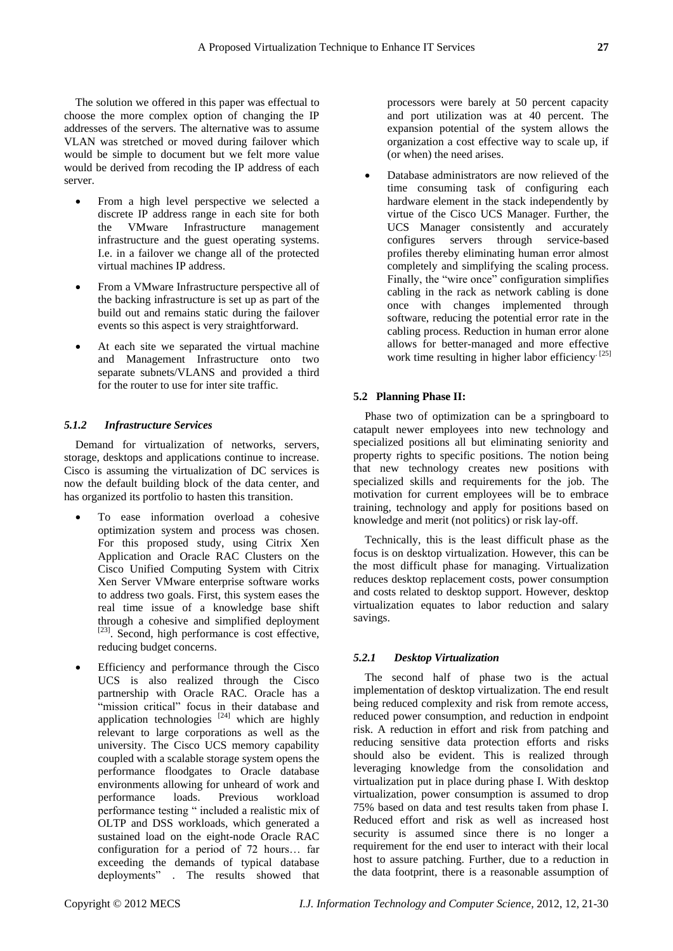The solution we offered in this paper was effectual to choose the more complex option of changing the IP addresses of the servers. The alternative was to assume VLAN was stretched or moved during failover which would be simple to document but we felt more value would be derived from recoding the IP address of each server.

- From a high level perspective we selected a discrete IP address range in each site for both the VMware Infrastructure management infrastructure and the guest operating systems. I.e. in a failover we change all of the protected virtual machines IP address.
- From a VMware Infrastructure perspective all of the backing infrastructure is set up as part of the build out and remains static during the failover events so this aspect is very straightforward.
- At each site we separated the virtual machine and Management Infrastructure onto two separate subnets/VLANS and provided a third for the router to use for inter site traffic.

# *5.1.2 Infrastructure Services*

Demand for virtualization of networks, servers, storage, desktops and applications continue to increase. Cisco is assuming the virtualization of DC services is now the default building block of the data center, and has organized its portfolio to hasten this transition.

- To ease information overload a cohesive optimization system and process was chosen. For this proposed study, using Citrix Xen Application and Oracle RAC Clusters on the Cisco Unified Computing System with Citrix Xen Server VMware enterprise software works to address two goals. First, this system eases the real time issue of a knowledge base shift through a cohesive and simplified deployment [23]. Second, high performance is cost effective, reducing budget concerns.
- Efficiency and performance through the Cisco UCS is also realized through the Cisco partnership with Oracle RAC. Oracle has a "mission critical" focus in their database and application technologies  $[24]$  which are highly relevant to large corporations as well as the university. The Cisco UCS memory capability coupled with a scalable storage system opens the performance floodgates to Oracle database environments allowing for unheard of work and performance loads. Previous workload performance testing " included a realistic mix of OLTP and DSS workloads, which generated a sustained load on the eight-node Oracle RAC configuration for a period of 72 hours… far exceeding the demands of typical database deployments". The results showed that

processors were barely at 50 percent capacity and port utilization was at 40 percent. The expansion potential of the system allows the organization a cost effective way to scale up, if (or when) the need arises.

 Database administrators are now relieved of the time consuming task of configuring each hardware element in the stack independently by virtue of the Cisco UCS Manager. Further, the UCS Manager consistently and accurately configures servers through service-based profiles thereby eliminating human error almost completely and simplifying the scaling process. Finally, the "wire once" configuration simplifies cabling in the rack as network cabling is done once with changes implemented through software, reducing the potential error rate in the cabling process. Reduction in human error alone allows for better-managed and more effective work time resulting in higher labor efficiency<sup>[25]</sup>

# **5.2 Planning Phase II:**

Phase two of optimization can be a springboard to catapult newer employees into new technology and specialized positions all but eliminating seniority and property rights to specific positions. The notion being that new technology creates new positions with specialized skills and requirements for the job. The motivation for current employees will be to embrace training, technology and apply for positions based on knowledge and merit (not politics) or risk lay-off.

Technically, this is the least difficult phase as the focus is on desktop virtualization. However, this can be the most difficult phase for managing. Virtualization reduces desktop replacement costs, power consumption and costs related to desktop support. However, desktop virtualization equates to labor reduction and salary savings.

#### *5.2.1 Desktop Virtualization*

The second half of phase two is the actual implementation of desktop virtualization. The end result being reduced complexity and risk from remote access, reduced power consumption, and reduction in endpoint risk. A reduction in effort and risk from patching and reducing sensitive data protection efforts and risks should also be evident. This is realized through leveraging knowledge from the consolidation and virtualization put in place during phase I. With desktop virtualization, power consumption is assumed to drop 75% based on data and test results taken from phase I. Reduced effort and risk as well as increased host security is assumed since there is no longer a requirement for the end user to interact with their local host to assure patching. Further, due to a reduction in the data footprint, there is a reasonable assumption of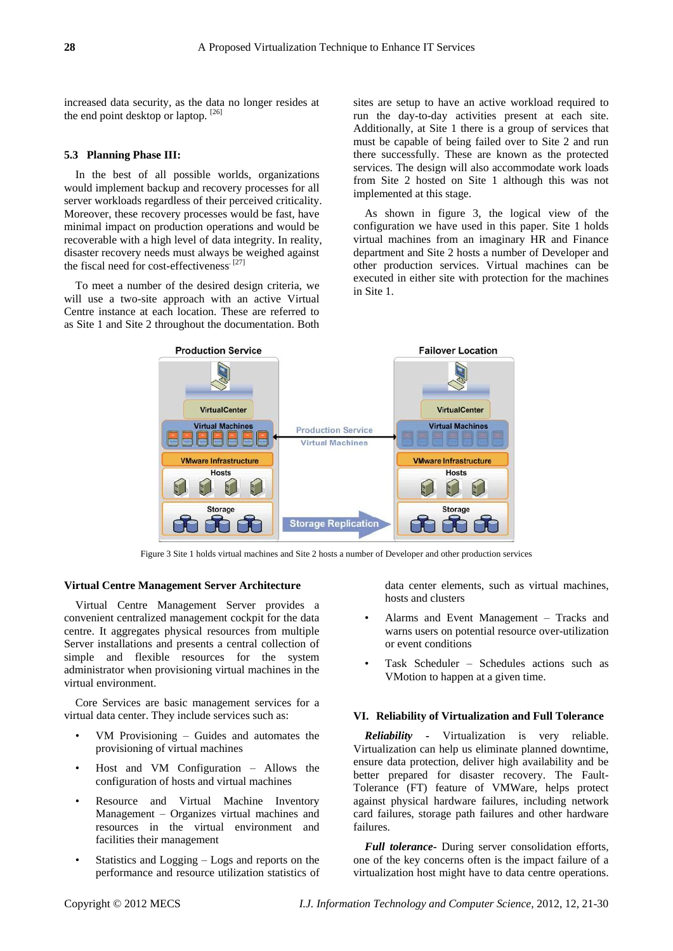increased data security, as the data no longer resides at the end point desktop or laptop. [26]

### **5.3 Planning Phase III:**

In the best of all possible worlds, organizations would implement backup and recovery processes for all server workloads regardless of their perceived criticality. Moreover, these recovery processes would be fast, have minimal impact on production operations and would be recoverable with a high level of data integrity. In reality, disaster recovery needs must always be weighed against the fiscal need for cost-effectiveness.<sup>[27]</sup>

To meet a number of the desired design criteria, we will use a two-site approach with an active Virtual Centre instance at each location. These are referred to as Site 1 and Site 2 throughout the documentation. Both

sites are setup to have an active workload required to run the day-to-day activities present at each site. Additionally, at Site 1 there is a group of services that must be capable of being failed over to Site 2 and run there successfully. These are known as the protected services. The design will also accommodate work loads from Site 2 hosted on Site 1 although this was not implemented at this stage.

As shown in figure 3, the logical view of the configuration we have used in this paper. Site 1 holds virtual machines from an imaginary HR and Finance department and Site 2 hosts a number of Developer and other production services. Virtual machines can be executed in either site with protection for the machines in Site 1.



Figure 3 Site 1 holds virtual machines and Site 2 hosts a number of Developer and other production services

#### **Virtual Centre Management Server Architecture**

Virtual Centre Management Server provides a convenient centralized management cockpit for the data centre. It aggregates physical resources from multiple Server installations and presents a central collection of simple and flexible resources for the system administrator when provisioning virtual machines in the virtual environment.

Core Services are basic management services for a virtual data center. They include services such as:

- VM Provisioning Guides and automates the provisioning of virtual machines
- Host and VM Configuration Allows the configuration of hosts and virtual machines
- Resource and Virtual Machine Inventory Management – Organizes virtual machines and resources in the virtual environment and facilities their management
- Statistics and Logging Logs and reports on the performance and resource utilization statistics of

data center elements, such as virtual machines, hosts and clusters

- Alarms and Event Management Tracks and warns users on potential resource over-utilization or event conditions
- Task Scheduler Schedules actions such as VMotion to happen at a given time.

#### **VI. Reliability of Virtualization and Full Tolerance**

*Reliability -* Virtualization is very reliable. Virtualization can help us eliminate planned downtime, ensure data protection, deliver high availability and be better prepared for disaster recovery. The Fault-Tolerance (FT) feature of VMWare, helps protect against physical hardware failures, including network card failures, storage path failures and other hardware failures.

*Full tolerance***-** During server consolidation efforts, one of the key concerns often is the impact failure of a virtualization host might have to data centre operations.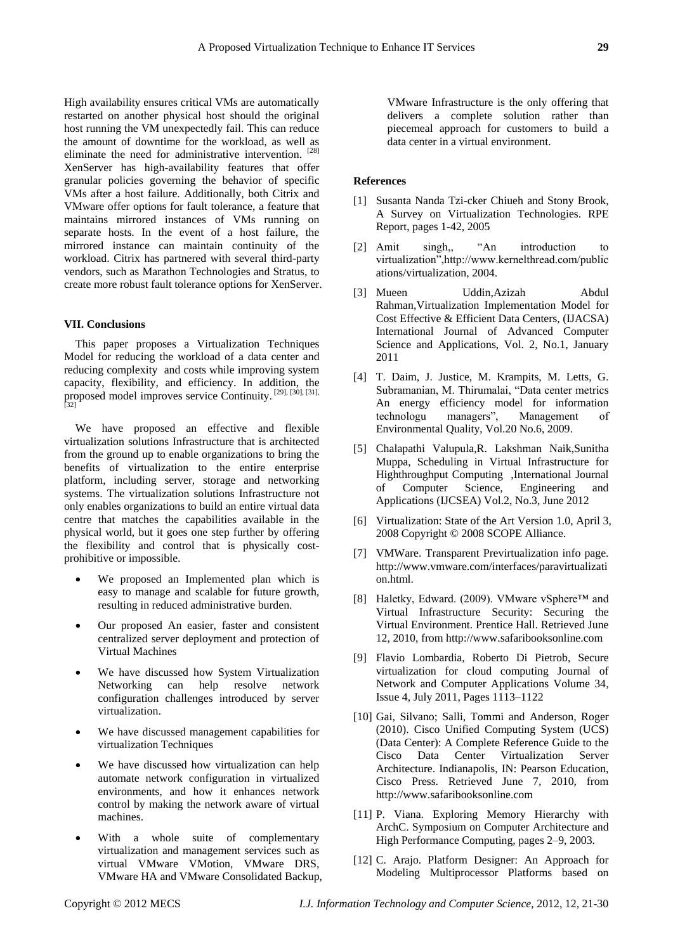High availability ensures critical VMs are automatically restarted on another physical host should the original host running the VM unexpectedly fail. This can reduce the amount of downtime for the workload, as well as eliminate the need for administrative intervention. [28] XenServer has high-availability features that offer granular policies governing the behavior of specific VMs after a host failure. Additionally, both Citrix and VMware offer options for fault tolerance, a feature that maintains mirrored instances of VMs running on separate hosts. In the event of a host failure, the mirrored instance can maintain continuity of the workload. Citrix has partnered with several third-party vendors, such as Marathon Technologies and Stratus, to create more robust fault tolerance options for XenServer.

# **VII. Conclusions**

This paper proposes a Virtualization Techniques Model for reducing the workload of a data center and reducing complexity and costs while improving system capacity, flexibility, and efficiency. In addition, the proposed model improves service Continuity.  $[29]$ ,  $[30]$ ,  $[31]$ ,  $[32]$ 

We have proposed an effective and flexible virtualization solutions Infrastructure that is architected from the ground up to enable organizations to bring the benefits of virtualization to the entire enterprise platform, including server, storage and networking systems. The virtualization solutions Infrastructure not only enables organizations to build an entire virtual data centre that matches the capabilities available in the physical world, but it goes one step further by offering the flexibility and control that is physically costprohibitive or impossible.

- We proposed an Implemented plan which is easy to manage and scalable for future growth, resulting in reduced administrative burden.
- Our proposed An easier, faster and consistent centralized server deployment and protection of Virtual Machines
- We have discussed how System Virtualization Networking can help resolve network configuration challenges introduced by server virtualization.
- We have discussed management capabilities for virtualization Techniques
- We have discussed how virtualization can help automate network configuration in virtualized environments, and how it enhances network control by making the network aware of virtual machines.
- With a whole suite of complementary virtualization and management services such as virtual VMware VMotion, VMware DRS, VMware HA and VMware Consolidated Backup,

VMware Infrastructure is the only offering that delivers a complete solution rather than piecemeal approach for customers to build a data center in a virtual environment.

# **References**

- [1] Susanta Nanda Tzi-cker Chiueh and Stony Brook, A Survey on Virtualization Technologies. RPE Report, pages 1-42, 2005
- [2] Amit singh,, "An introduction to virtualization",http://www.kernelthread.com/public ations/virtualization, 2004.
- [3] Mueen Uddin,Azizah Abdul Rahman,Virtualization Implementation Model for Cost Effective & Efficient Data Centers, (IJACSA) International Journal of Advanced Computer Science and Applications, Vol. 2, No.1, January 2011
- [4] T. Daim, J. Justice, M. Krampits, M. Letts, G. Subramanian, M. Thirumalai, "Data center metrics An energy efficiency model for information technologu managers", Management of Environmental Quality, Vol.20 No.6, 2009.
- [5] Chalapathi Valupula,R. Lakshman Naik,Sunitha Muppa, Scheduling in Virtual Infrastructure for Highthroughput Computing ,International Journal of Computer Science, Engineering and Applications (IJCSEA) Vol.2, No.3, June 2012
- [6] Virtualization: State of the Art Version 1.0, April 3, 2008 Copyright © 2008 SCOPE Alliance.
- [7] VMWare. Transparent Previrtualization info page. http://www.vmware.com/interfaces/paravirtualizati on.html.
- [8] Haletky, Edward. (2009). VMware vSphere™ and Virtual Infrastructure Security: Securing the Virtual Environment. Prentice Hall. Retrieved June 12, 2010, from http://www.safaribooksonline.com
- [9] Flavio Lombardia, Roberto Di Pietrob, Secure virtualization for cloud computing Journal of Network and Computer Applications Volume 34, Issue 4, July 2011, Pages 1113–1122
- [10] Gai, Silvano; Salli, Tommi and Anderson, Roger (2010). Cisco Unified Computing System (UCS) (Data Center): A Complete Reference Guide to the Cisco Data Center Virtualization Server Architecture. Indianapolis, IN: Pearson Education, Cisco Press. Retrieved June 7, 2010, from http://www.safaribooksonline.com
- [11] P. Viana. Exploring Memory Hierarchy with ArchC. Symposium on Computer Architecture and High Performance Computing, pages 2–9, 2003.
- [12] C. Arajo. Platform Designer: An Approach for Modeling Multiprocessor Platforms based on